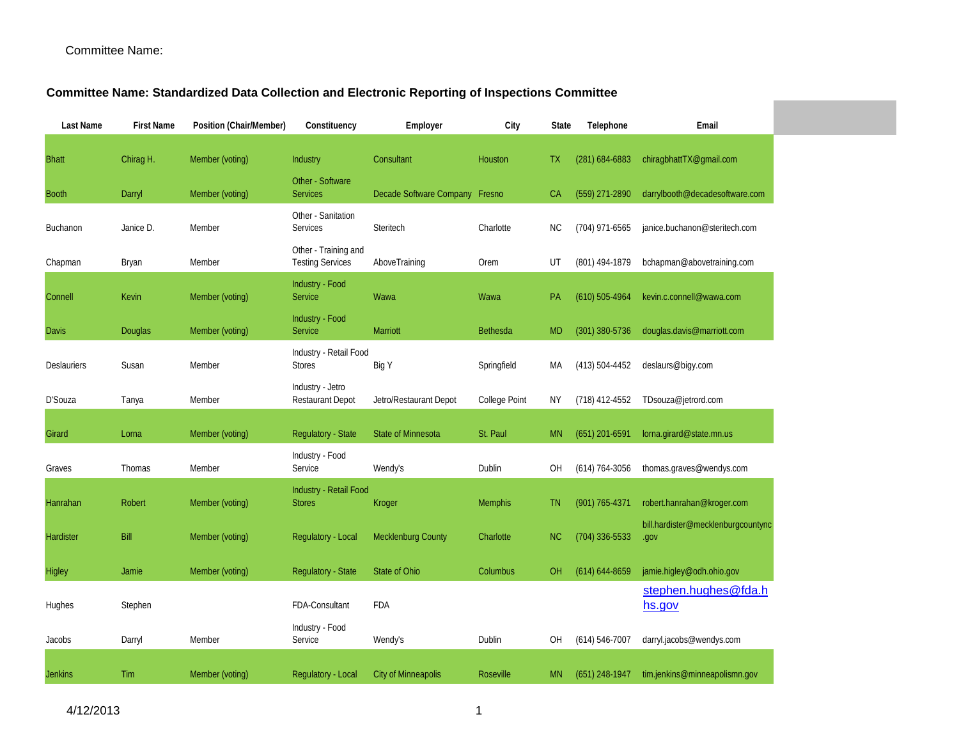## **Committee Name: Standardized Data Collection and Electronic Reporting of Inspections Committee**

| Last Name      | <b>First Name</b> | Position (Chair/Member) | Constituency                                    | Employer                       | City             | <b>State</b> | Telephone          | Email                                          |
|----------------|-------------------|-------------------------|-------------------------------------------------|--------------------------------|------------------|--------------|--------------------|------------------------------------------------|
| <b>Bhatt</b>   | Chirag H.         | Member (voting)         | Industry                                        | Consultant                     | Houston          | TX.          | $(281)$ 684-6883   | chiragbhattTX@gmail.com                        |
| <b>Booth</b>   | Darryl            | Member (voting)         | Other - Software<br><b>Services</b>             | Decade Software Company Fresno |                  | CA           | $(559)$ 271-2890   | darrylbooth@decadesoftware.com                 |
| Buchanon       | Janice D.         | Member                  | Other - Sanitation<br>Services                  | Steritech                      | Charlotte        | ΝC           | $(704)$ 971-6565   | janice.buchanon@steritech.com                  |
| Chapman        | Bryan             | Member                  | Other - Training and<br><b>Testing Services</b> | AboveTraining                  | Orem             | UT           | (801) 494-1879     | bchapman@abovetraining.com                     |
| Connell        | Kevin             | Member (voting)         | Industry - Food<br>Service                      | Wawa                           | Wawa             | <b>PA</b>    | $(610) 505 - 4964$ | kevin.c.connell@wawa.com                       |
| <b>Davis</b>   | Douglas           | Member (voting)         | Industry - Food<br>Service                      | Marriott                       | <b>Bethesda</b>  | <b>MD</b>    | $(301)$ 380-5736   | douglas.davis@marriott.com                     |
| Deslauriers    | Susan             | Member                  | Industry - Retail Food<br><b>Stores</b>         | Big Y                          | Springfield      | МA           | (413) 504-4452     | deslaurs@biqy.com                              |
| D'Souza        | Tanya             | Member                  | Industry - Jetro<br><b>Restaurant Depot</b>     | Jetro/Restaurant Depot         | College Point    | ΝY           | (718) 412-4552     | TDsouza@jetrord.com                            |
| Girard         | Lorna             | Member (voting)         | <b>Regulatory - State</b>                       | <b>State of Minnesota</b>      | St. Paul         | <b>MN</b>    | $(651)$ 201-6591   | lorna.girard@state.mn.us                       |
| Graves         | Thomas            | Member                  | Industry - Food<br>Service                      | Wendy's                        | Dublin           | OH           | (614) 764-3056     | thomas.graves@wendys.com                       |
| Hanrahan       | Robert            | Member (voting)         | Industry - Retail Food<br><b>Stores</b>         | Kroger                         | <b>Memphis</b>   | TN.          | $(901) 765 - 4371$ | robert.hanrahan@kroger.com                     |
| Hardister      | Bill              | Member (voting)         | Regulatory - Local                              | Mecklenburg County             | Charlotte        | NC.          | (704) 336-5533     | bill.hardister@mecklenburgcountync<br>.gov     |
| Higley         | Jamie             | Member (voting)         | <b>Regulatory - State</b>                       | State of Ohio                  | Columbus         | OH.          | $(614) 644 - 8659$ | jamie.higley@odh.ohio.gov                      |
| Hughes         | Stephen           |                         | FDA-Consultant                                  | FDA                            |                  |              |                    | stephen.hughes@fda.h<br>hs.gov                 |
| Jacobs         | Darryl            | Member                  | Industry - Food<br>Service                      | Wendy's                        | Dublin           | OH           | $(614) 546 - 7007$ | darryl.jacobs@wendys.com                       |
| <b>Jenkins</b> | Tim               | Member (voting)         | Regulatory - Local                              | <b>City of Minneapolis</b>     | <b>Roseville</b> | MN.          |                    | $(651)$ 248-1947 tim.jenkins@minneapolismn.gov |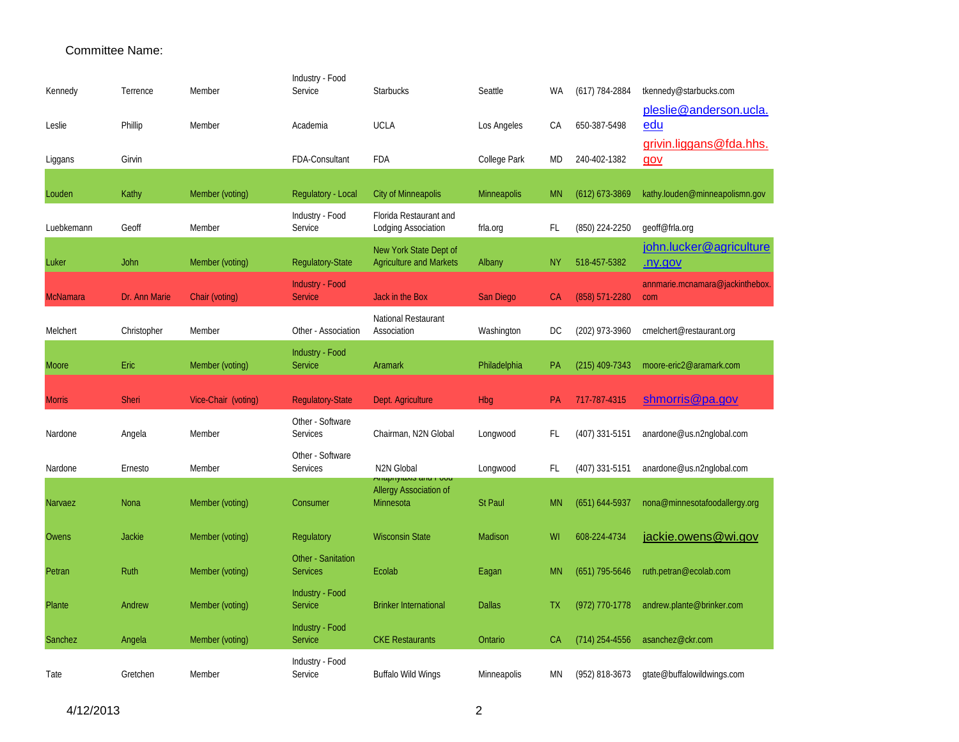| Kennedy       | Terrence      | Member              | Industry - Food<br>Service               | <b>Starbucks</b>                                                           | Seattle        | WA        | $(617)$ 784-2884   | tkennedy@starbucks.com                    |
|---------------|---------------|---------------------|------------------------------------------|----------------------------------------------------------------------------|----------------|-----------|--------------------|-------------------------------------------|
| Leslie        | Phillip       | Member              | Academia                                 | <b>UCLA</b>                                                                | Los Angeles    | CA        | 650-387-5498       | pleslie@anderson.ucla.<br>edu             |
| Liggans       | Girvin        |                     | FDA-Consultant                           | <b>FDA</b>                                                                 | College Park   | <b>MD</b> | 240-402-1382       | grivin.liggans@fda.hhs.<br><u>gov</u>     |
|               |               |                     |                                          |                                                                            |                |           |                    |                                           |
| Louden        | Kathy         | Member (voting)     | Regulatory - Local                       | City of Minneapolis                                                        | Minneapolis    | <b>MN</b> | $(612)$ 673-3869   | kathy.louden@minneapolismn.gov            |
| Luebkemann    | Geoff         | Member              | Industry - Food<br>Service               | Florida Restaurant and<br>Lodging Association                              | frla.org       | FL        | (850) 224-2250     | geoff@frla.org                            |
| Luker         | John          | Member (voting)     | Regulatory-State                         | New York State Dept of<br><b>Agriculture and Markets</b>                   | Albany         | NΥ        | 518-457-5382       | john.lucker@agriculture<br><u>.ny.gov</u> |
| McNamara      | Dr. Ann Marie | Chair (voting)      | <b>Industry - Food</b><br><b>Service</b> | <b>Jack in the Box</b>                                                     | San Diego      | CA        | $(858) 571 - 2280$ | annmarie.mcnamara@jackinthebox.<br>com    |
| Melchert      | Christopher   | Member              | Other - Association                      | National Restaurant<br>Association                                         | Washington     | DC        | (202) 973-3960     | cmelchert@restaurant.org                  |
| Moore         | Eric          | Member (voting)     | <b>Industry - Food</b><br><b>Service</b> | Aramark                                                                    | Philadelphia   | РA        | $(215)$ 409-7343   | moore-eric2@aramark.com                   |
| <b>Morris</b> | <b>Sheri</b>  | Vice-Chair (voting) | <b>Regulatory-State</b>                  | Dept. Agriculture                                                          | Hbg            | PA        | 717-787-4315       | shmorris@pa.gov                           |
| Nardone       | Angela        | Member              | Other - Software<br>Services             | Chairman, N2N Global                                                       | Longwood       | FL        | $(407)$ 331-5151   | anardone@us.n2nglobal.com                 |
| Nardone       | Ernesto       | Member              | Other - Software<br>Services             | N2N Global                                                                 | Longwood       | FL        | (407) 331-5151     | anardone@us.n2nglobal.com                 |
| Narvaez       | Nona          | Member (voting)     | Consumer                                 | <b>Milaphylaxis and Food</b><br><b>Allergy Association of</b><br>Minnesota | <b>St Paul</b> | <b>MN</b> | $(651) 644-5937$   | nona@minnesotafoodallergy.org             |
| Owens         | <b>Jackie</b> | Member (voting)     | Regulatory                               | <b>Wisconsin State</b>                                                     | Madison        | WI        | 608-224-4734       | jackie.owens@wi.gov                       |
| Petran        |               |                     | Other - Sanitation                       |                                                                            |                |           |                    |                                           |
|               | Ruth          | Member (voting)     | <b>Services</b>                          | Ecolab                                                                     | Eagan          | <b>MN</b> | $(651)$ 795-5646   | ruth.petran@ecolab.com                    |
| Plante        | Andrew        | Member (voting)     | Industry - Food<br><b>Service</b>        | <b>Brinker International</b>                                               | <b>Dallas</b>  | TΧ        | $(972)$ 770-1778   | andrew.plante@brinker.com                 |
| Sanchez       | Angela        | Member (voting)     | Industry - Food<br><b>Service</b>        | <b>CKE Restaurants</b>                                                     | Ontario        | СA        | $(714)$ 254-4556   | asanchez@ckr.com                          |